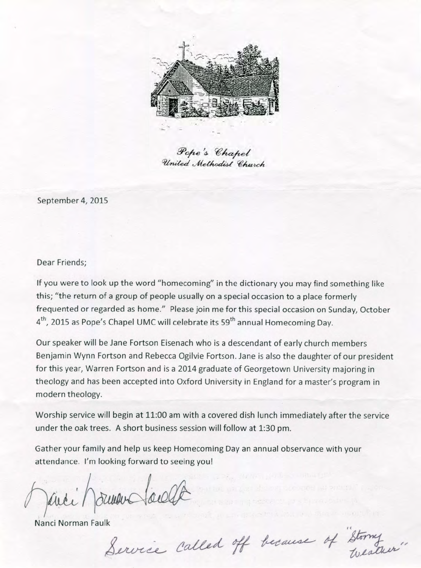

Pope's Chapel United Methodist Church

September 4, 2015

Dear Friends;

If you were to look up the word "homecoming" in the dictionary you may find something like this; "the return of a group of people usually on a special occasion to a place formerly frequented or regarded as home." Please join me for this special occasion on Sunday, October 4<sup>th</sup>, 2015 as Pope's Chapel UMC will celebrate its 59<sup>th</sup> annual Homecoming Day.

Our speaker will be Jane Fortson Eisenach who is a descendant of early church members Benjamin Wynn Fortson and Rebecca Ogilvie Fortson. Jane is also the daughter of our president for this year, Warren Fortson and is a 2014 graduate of Georgetown University majoring in theology and has been accepted into Oxford University in England for a master's program in modern theology.

Worship service will begin at 11:00 am with a covered dish lunch immediately after the service under the oak trees. A short business session will follow at 1:30 pm.

Gather your family and help us keep Homecoming Day an annual observance with your attendance. I'm looking forward to seeing you!

Janei Morman Sacelle

Nanci Norman Faulk<br>Service Called off because of Stormy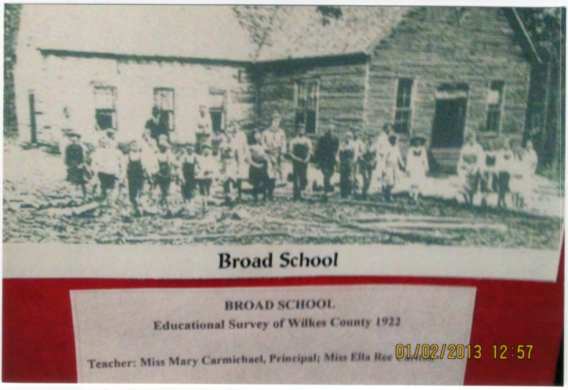## **Broad** *School*

## BROAD SCHOOL

**Educational Survey of Wilkes County 1922**

Teacher: Miss Mary Carmichael, Principal; Miss Ella Ree **01/02/2013** 12:57